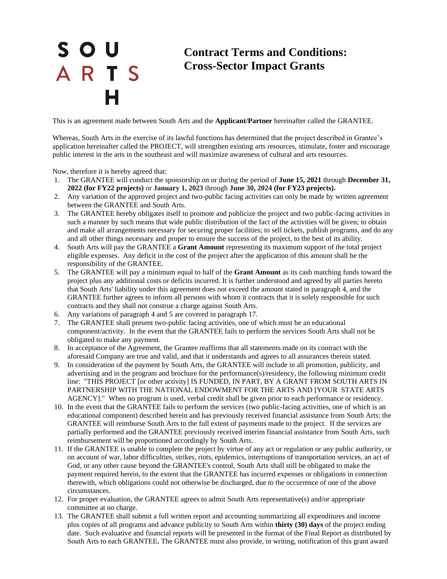## S O U ARTS

## **Contract Terms and Conditions: Cross-Sector Impact Grants**

This is an agreement made between South Arts and the **Applicant/Partner** hereinafter called the GRANTEE.

Whereas, South Arts in the exercise of its lawful functions has determined that the project described in Grantee's application hereinafter called the PROJECT, will strengthen existing arts resources, stimulate, foster and encourage public interest in the arts in the southeast and will maximize awareness of cultural and arts resources.

Now, therefore it is hereby agreed that:

- 1. The GRANTEE will conduct the sponsorship on or during the period of **June 15, 2021** through **December 31, 2022 (for FY22 projects)** or **January 1, 2023** through **June 30, 2024 (for FY23 projects).**
- 2. Any variation of the approved project and two-public facing activities can only be made by written agreement between the GRANTEE and South Arts.
- 3. The GRANTEE hereby obligates itself to promote and publicize the project and two public-facing activities in such a manner by such means that wide public distribution of the fact of the activities will be given; to obtain and make all arrangements necessary for securing proper facilities; to sell tickets, publish programs, and do any and all other things necessary and proper to ensure the success of the project, to the best of its ability.
- 4. South Arts will pay the GRANTEE a **Grant Amount** representing its maximum support of the total project eligible expenses. Any deficit in the cost of the project after the application of this amount shall be the responsibility of the GRANTEE.
- 5. The GRANTEE will pay a minimum equal to half of the **Grant Amount** as its cash matching funds toward the project plus any additional costs or deficits incurred. It is further understood and agreed by all parties hereto that South Arts' liability under this agreement does not exceed the amount stated in paragraph 4, and the GRANTEE further agrees to inform all persons with whom it contracts that it is solely responsible for such contracts and they shall not construe a charge against South Arts.
- 6. Any variations of paragraph 4 and 5 are covered in paragraph 17.
- 7. The GRANTEE shall present two-public facing activities, one of which must be an educational component/activity. In the event that the GRANTEE fails to perform the services South Arts shall not be obligated to make any payment.
- 8. In acceptance of the Agreement, the Grantee reaffirms that all statements made on its contract with the aforesaid Company are true and valid, and that it understands and agrees to all assurances therein stated.
- 9. In consideration of the payment by South Arts, the GRANTEE will include in all promotion, publicity, and advertising and in the program and brochure for the performance(s)/residency, the following minimum credit line: "THIS PROJECT [or other activity] IS FUNDED, IN PART, BY A GRANT FROM SOUTH ARTS IN PARTNERSHIP WITH THE NATIONAL ENDOWMENT FOR THE ARTS AND [YOUR STATE ARTS AGENCY]." When no program is used, verbal credit shall be given prior to each performance or residency.
- 10. In the event that the GRANTEE fails to perform the services (two public-facing activities, one of which is an educational component) described herein and has previously received financial assistance from South Arts; the GRANTEE will reimburse South Arts to the full extent of payments made to the project. If the services are partially performed and the GRANTEE previously received interim financial assistance from South Arts, such reimbursement will be proportioned accordingly by South Arts.
- 11. If the GRANTEE is unable to complete the project by virtue of any act or regulation or any public authority, or on account of war, labor difficulties, strikes, riots, epidemics, interruptions of transportation services, an act of God, or any other cause beyond the GRANTEE's control, South Arts shall still be obligated to make the payment required herein, to the extent that the GRANTEE has incurred expenses or obligations in connection therewith, which obligations could not otherwise be discharged, due to the occurrence of one of the above circumstances.
- 12. For proper evaluation, the GRANTEE agrees to admit South Arts representative(s) and/or appropriate committee at no charge.
- 13. The GRANTEE shall submit a full written report and accounting summarizing all expenditures and income plus copies of all programs and advance publicity to South Arts within **thirty (30) days** of the project ending date. Such evaluative and financial reports will be presented in the format of the Final Report as distributed by South Arts to each GRANTEE**.** The GRANTEE must also provide, in writing, notification of this grant award